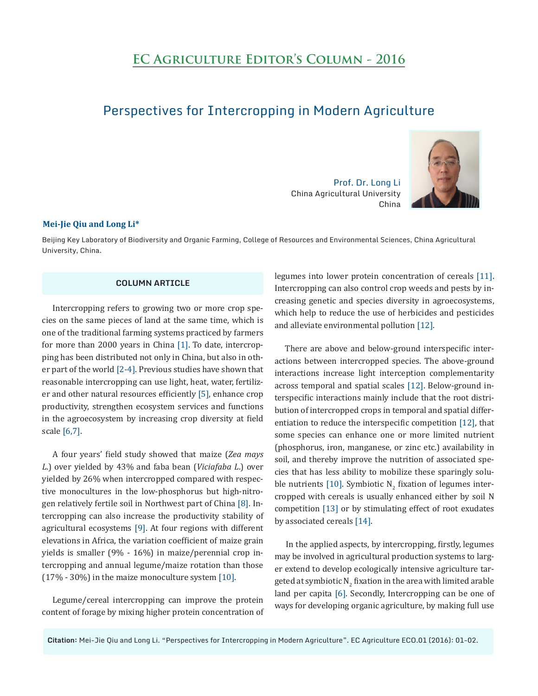# **EC Agriculture Editor's Column - 2016**

## Perspectives for Intercropping in Modern Agriculture

Prof. Dr. Long Li China Agricultural University China



#### **Mei-Jie Qiu and Long Li\***

Beijing Key Laboratory of Biodiversity and Organic Farming, College of Resources and Environmental Sciences, China Agricultural University, China.

### **COLUMN ARTICLE**

Intercropping refers to growing two or more crop species on the same pieces of land at the same time, which is one of the traditional farming systems practiced by farmers for more than 2000 years in China [1]. To date, intercropping has been distributed not only in China, but also in other part of the world [2-4]. Previous studies have shown that reasonable intercropping can use light, heat, water, fertilizer and other natural resources efficiently [5], enhance crop productivity, strengthen ecosystem services and functions in the agroecosystem by increasing crop diversity at field scale [6,7].

A four years' field study showed that maize (*Zea mays L*.) over yielded by 43% and faba bean (*Viciafaba L*.) over yielded by 26% when intercropped compared with respective monocultures in the low-phosphorus but high-nitrogen relatively fertile soil in Northwest part of China [8]. Intercropping can also increase the productivity stability of agricultural ecosystems [9]. At four regions with different elevations in Africa, the variation coefficient of maize grain yields is smaller (9% - 16%) in maize/perennial crop intercropping and annual legume/maize rotation than those (17% - 30%) in the maize monoculture system [10].

Legume/cereal intercropping can improve the protein content of forage by mixing higher protein concentration of legumes into lower protein concentration of cereals [11]. Intercropping can also control crop weeds and pests by increasing genetic and species diversity in agroecosystems, which help to reduce the use of herbicides and pesticides and alleviate environmental pollution [12].

There are above and below-ground interspecific interactions between intercropped species. The above-ground interactions increase light interception complementarity across temporal and spatial scales [12]. Below-ground interspecific interactions mainly include that the root distribution of intercropped crops in temporal and spatial differentiation to reduce the interspecific competition [12], that some species can enhance one or more limited nutrient (phosphorus, iron, manganese, or zinc etc.) availability in soil, and thereby improve the nutrition of associated species that has less ability to mobilize these sparingly soluble nutrients [10]. Symbiotic  $N_2$  fixation of legumes intercropped with cereals is usually enhanced either by soil N competition [13] or by stimulating effect of root exudates by associated cereals [14].

In the applied aspects, by intercropping, firstly, legumes may be involved in agricultural production systems to larger extend to develop ecologically intensive agriculture targeted at symbiotic N $_2$  fixation in the area with limited arable land per capita [6]. Secondly, Intercropping can be one of ways for developing organic agriculture, by making full use

**Citation:** Mei-Jie Qiu and Long Li. "Perspectives for Intercropping in Modern Agriculture". EC Agriculture ECO.01 (2016): 01-02.